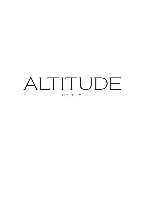# ALTITUDE SYDNEY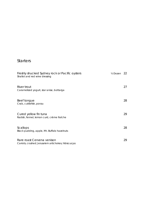### **Starters**

| Freshly shucked Sydney rock or Pacific oysters<br>Shallot and red wine dressing   | 1/ <sub>2</sub> Dozen | 22 |
|-----------------------------------------------------------------------------------|-----------------------|----|
| River trout<br>Caramelized yogurt, star anise, bottarga                           |                       | 27 |
| Beef tongue<br>Crab, cuttlefish, ponzu                                            |                       | 28 |
| Cured yellow fin tuna<br>Radish, fennel, lemon curd, crème fraîche                |                       | 29 |
| Scallops<br>Black pudding, apple, Mt. Buffalo hazelnuts                           |                       | 28 |
| Rare roast Cervena venison<br>Carrots, crushed Jerusalem artichokes, hibiscus jus |                       | 29 |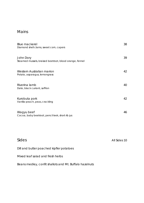### Mains

| <b>Blue mackerel</b><br>Diamond shell clams, sweet corn, capers      | 38           |
|----------------------------------------------------------------------|--------------|
| John Dory<br>Steamed mussels, braised beetroot, blood orange, fennel | 39           |
| Western Australian marron<br>Potato, asparagus, lemongrass           | 42           |
| Riverina lamb<br>Date, black currant, saffron                        | 40           |
| Kurobuta pork<br>Vanilla-peach, peas, crackling                      | 42           |
| Wagyu beef<br>Cocoa, baby beetroot, pencil leek, short rib jus       | 46           |
|                                                                      |              |
| Sides                                                                | All Sides 10 |
| Dill and butter poached kipfler potatoes                             |              |

Mixed leaf salad and fresh herbs

Beans medley, confit shallots and Mt. Buffalo hazelnuts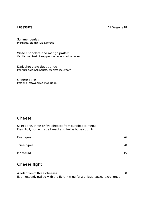#### Desserts All Desserts 18

Summer berries Meringue, organic juice, sorbet

White chocolate and mango parfait Vanilla poached pineapple, crème fraîche ice cream

Dark chocolate decadence Peanuts, caramel mousse, espresso ice cream

Cheese cake Pistachio, strawberries, macaroon

#### Cheese

Select one, three or five cheeses from our cheese menu Fresh fruit, home made bread and truffle honey comb

| Five types  | 26 |
|-------------|----|
| Three types | 20 |
| Individual  | 15 |
|             |    |

#### Cheese flight

A selection of three cheeses 30 Each expertly paired with a different wine for a unique tasting experience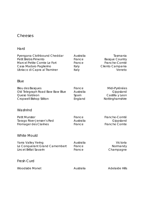#### Cheeses

#### Hard

| Pyengana Clothbound Cheddar<br>Petit Brebis Pimento<br>Marcel Petite Comte Le Fort<br>Casa Madaio Paglierino<br>Ubriaco di Capra al Traminer | Australia<br>France<br>France<br>Italy<br>Italy | Tasmania<br><b>Basque Country</b><br>Franche-Comté<br>Cilento Campania<br>Veneto |
|----------------------------------------------------------------------------------------------------------------------------------------------|-------------------------------------------------|----------------------------------------------------------------------------------|
| Blue                                                                                                                                         |                                                 |                                                                                  |
| <b>Bleu des Basques</b><br>Old Telegraph Road Baw Baw Blue<br>Queso Valdeon<br>Cropwell Bishop Stilton                                       | France<br>Australia<br>Spain<br>England         | Midi-Pyrénées<br>Gippsland<br>Castilla y Leon<br>Nottinghamshire                 |
| Washrind                                                                                                                                     |                                                 |                                                                                  |
| <b>Petit Munster</b><br>Tarago River Jensen's Red<br>Fromager des Clarines                                                                   | France<br>Australia<br>France                   | Franche-Comté<br>Gippsland<br><b>Franche Comte</b>                               |
| <b>White Mould</b>                                                                                                                           |                                                 |                                                                                  |
| Yarra Valley Yering<br>Le Conquerant Grand Camembert<br>Lincet Brillat Savarin                                                               | Australia<br>France<br>France                   | Victoria<br>Normandy<br>Champagne                                                |
| <b>Fresh Curd</b>                                                                                                                            |                                                 |                                                                                  |
| <b>Woodside Monet</b>                                                                                                                        | Australia                                       | <b>Adelaide Hills</b>                                                            |